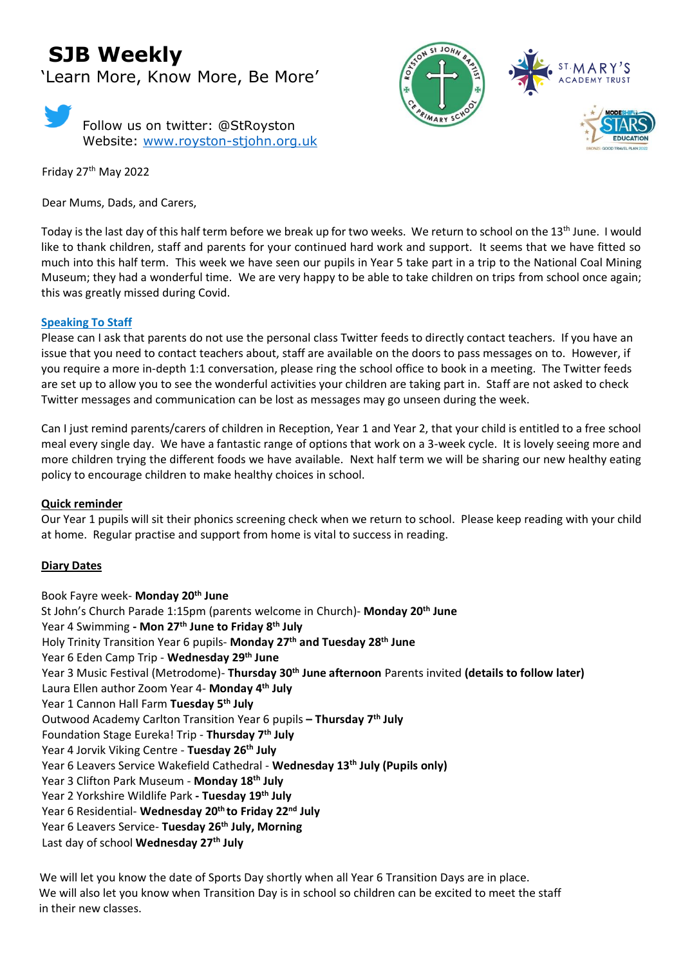# **SJB Weekly**

'Learn More, Know More, Be More'



Friday 27 th May 2022

Dear Mums, Dads, and Carers,



Today is the last day of this half term before we break up for two weeks. We return to school on the 13<sup>th</sup> June. I would like to thank children, staff and parents for your continued hard work and support. It seems that we have fitted so much into this half term. This week we have seen our pupils in Year 5 take part in a trip to the National Coal Mining Museum; they had a wonderful time. We are very happy to be able to take children on trips from school once again; this was greatly missed during Covid.

#### **Speaking To Staff**

Please can I ask that parents do not use the personal class Twitter feeds to directly contact teachers. If you have an issue that you need to contact teachers about, staff are available on the doors to pass messages on to. However, if you require a more in-depth 1:1 conversation, please ring the school office to book in a meeting. The Twitter feeds are set up to allow you to see the wonderful activities your children are taking part in. Staff are not asked to check Twitter messages and communication can be lost as messages may go unseen during the week.

Can I just remind parents/carers of children in Reception, Year 1 and Year 2, that your child is entitled to a free school meal every single day. We have a fantastic range of options that work on a 3-week cycle. It is lovely seeing more and more children trying the different foods we have available. Next half term we will be sharing our new healthy eating policy to encourage children to make healthy choices in school.

#### **Quick reminder**

Our Year 1 pupils will sit their phonics screening check when we return to school. Please keep reading with your child at home. Regular practise and support from home is vital to success in reading.

#### **Diary Dates**

Book Fayre week- **Monday 20th June** St John's Church Parade 1:15pm (parents welcome in Church)- **Monday 20th June** Year 4 Swimming **- Mon 27th June to Friday 8th July** Holy Trinity Transition Year 6 pupils- **Monday 27 th and Tuesday 28 th June** Year 6 Eden Camp Trip - **Wednesday 29th June** Year 3 Music Festival (Metrodome)- **Thursday 30th June afternoon** Parents invited **(details to follow later)** Laura Ellen author Zoom Year 4- **Monday 4th July**  Year 1 Cannon Hall Farm **Tuesday 5th July** Outwood Academy Carlton Transition Year 6 pupils **– Thursday 7th July** Foundation Stage Eureka! Trip - **Thursday 7th July** Year 4 Jorvik Viking Centre - **Tuesday 26th July** Year 6 Leavers Service Wakefield Cathedral - **Wednesday 13th July (Pupils only)** Year 3 Clifton Park Museum - **Monday 18th July** Year 2 Yorkshire Wildlife Park **- Tuesday 19th July** Year 6 Residential- **Wednesday 20th to Friday 22 nd July** Year 6 Leavers Service- **Tuesday 26th July, Morning** Last day of school **Wednesday 27th July**

 We will let you know the date of Sports Day shortly when all Year 6 Transition Days are in place. We will also let you know when Transition Day is in school so children can be excited to meet the staff in their new classes.